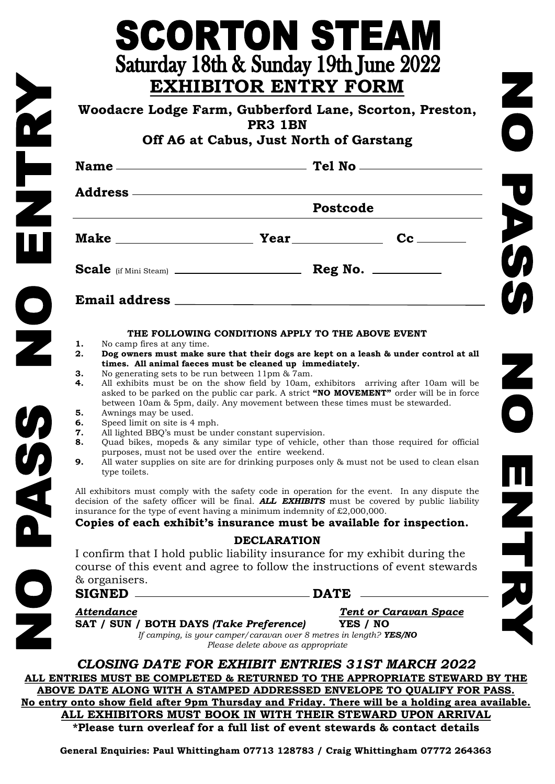| Woodacre Lodge Farm, Gubberford Lane, Scorton, Preston,<br>PR3 1BN<br>Off A6 at Cabus, Just North of Garstang |                                                                                                                                                                                                                                                                                                                                                                                                                                                                                                                                                                                                                                                                                                                                                       |                              |
|---------------------------------------------------------------------------------------------------------------|-------------------------------------------------------------------------------------------------------------------------------------------------------------------------------------------------------------------------------------------------------------------------------------------------------------------------------------------------------------------------------------------------------------------------------------------------------------------------------------------------------------------------------------------------------------------------------------------------------------------------------------------------------------------------------------------------------------------------------------------------------|------------------------------|
|                                                                                                               |                                                                                                                                                                                                                                                                                                                                                                                                                                                                                                                                                                                                                                                                                                                                                       |                              |
|                                                                                                               | Address —————————————————————————<br>Postcode                                                                                                                                                                                                                                                                                                                                                                                                                                                                                                                                                                                                                                                                                                         |                              |
|                                                                                                               |                                                                                                                                                                                                                                                                                                                                                                                                                                                                                                                                                                                                                                                                                                                                                       |                              |
|                                                                                                               |                                                                                                                                                                                                                                                                                                                                                                                                                                                                                                                                                                                                                                                                                                                                                       |                              |
|                                                                                                               |                                                                                                                                                                                                                                                                                                                                                                                                                                                                                                                                                                                                                                                                                                                                                       |                              |
| 5.<br>Awnings may be used.<br>6.<br>Speed limit on site is 4 mph.<br>7.<br>8.<br>9.<br>type toilets.          | between 10am & 5pm, daily. Any movement between these times must be stewarded.<br>All lighted BBQ's must be under constant supervision.<br>Quad bikes, mopeds & any similar type of vehicle, other than those required for official<br>purposes, must not be used over the entire weekend.<br>All water supplies on site are for drinking purposes only & must not be used to clean elsan<br>All exhibitors must comply with the safety code in operation for the event. In any dispute the<br>decision of the safety officer will be final. ALL EXHIBITS must be covered by public liability<br>insurance for the type of event having a minimum indemnity of $£2,000,000$ .<br>Copies of each exhibit's insurance must be available for inspection. |                              |
| & organisers.<br><b>SIGNED</b>                                                                                | <b>DECLARATION</b><br>I confirm that I hold public liability insurance for my exhibit during the<br>course of this event and agree to follow the instructions of event stewards                                                                                                                                                                                                                                                                                                                                                                                                                                                                                                                                                                       |                              |
|                                                                                                               | <b>DATE</b>                                                                                                                                                                                                                                                                                                                                                                                                                                                                                                                                                                                                                                                                                                                                           | <b>Tent or Caravan Space</b> |

**SCORTON STEAM** 

**ALL EXHIBITORS MUST BOOK IN WITH THEIR STEWARD UPON ARRIVAL \*Please turn overleaf for a full list of event stewards & contact details**

**General Enquiries: Paul Whittingham 07713 128783 / Craig Whittingham 07772 264363**